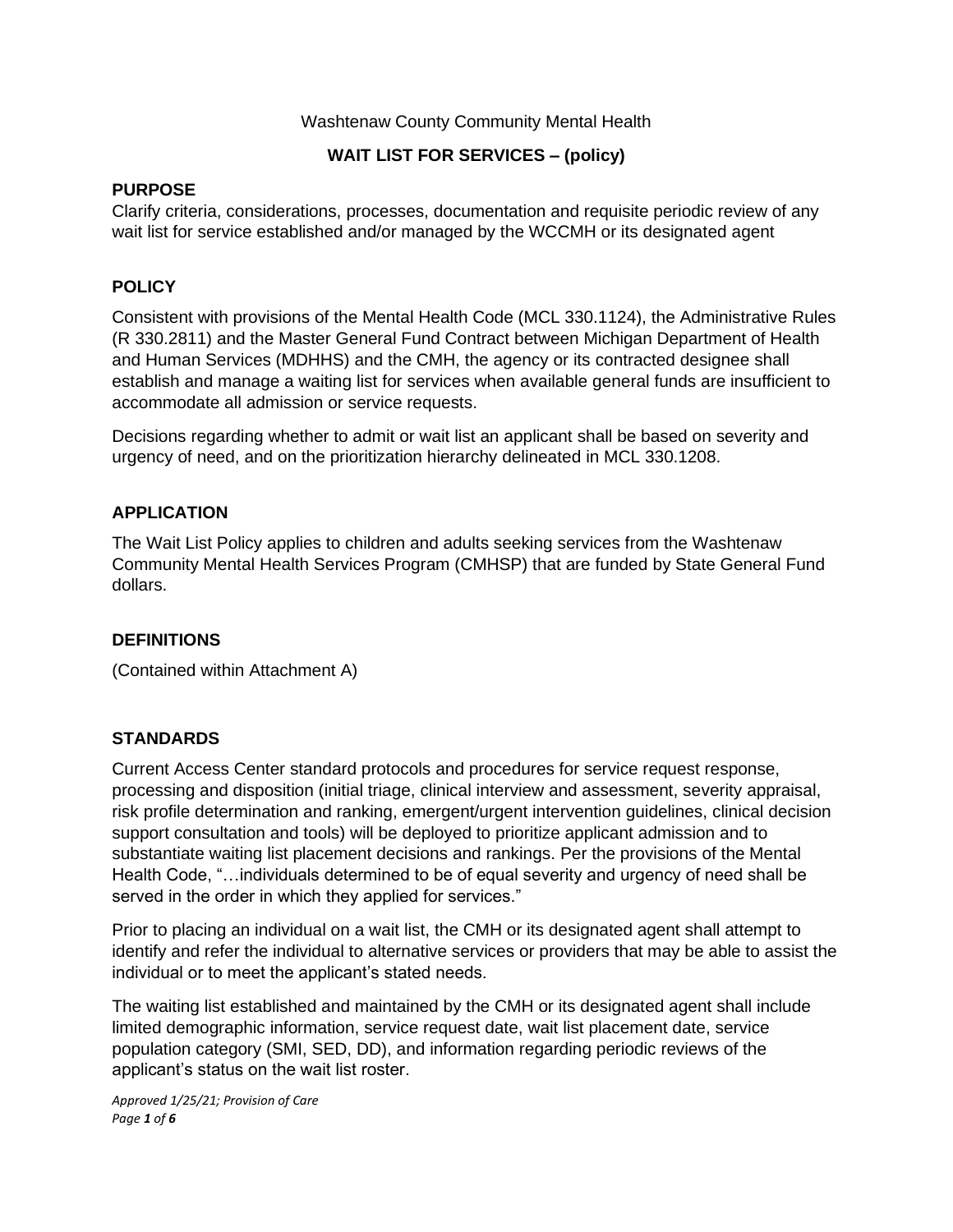#### Washtenaw County Community Mental Health

# **WAIT LIST FOR SERVICES – (policy)**

## **PURPOSE**

Clarify criteria, considerations, processes, documentation and requisite periodic review of any wait list for service established and/or managed by the WCCMH or its designated agent

# **POLICY**

Consistent with provisions of the Mental Health Code (MCL 330.1124), the Administrative Rules (R 330.2811) and the Master General Fund Contract between Michigan Department of Health and Human Services (MDHHS) and the CMH, the agency or its contracted designee shall establish and manage a waiting list for services when available general funds are insufficient to accommodate all admission or service requests.

Decisions regarding whether to admit or wait list an applicant shall be based on severity and urgency of need, and on the prioritization hierarchy delineated in MCL 330.1208.

## **APPLICATION**

The Wait List Policy applies to children and adults seeking services from the Washtenaw Community Mental Health Services Program (CMHSP) that are funded by State General Fund dollars.

#### **DEFINITIONS**

(Contained within Attachment A)

# **STANDARDS**

Current Access Center standard protocols and procedures for service request response, processing and disposition (initial triage, clinical interview and assessment, severity appraisal, risk profile determination and ranking, emergent/urgent intervention guidelines, clinical decision support consultation and tools) will be deployed to prioritize applicant admission and to substantiate waiting list placement decisions and rankings. Per the provisions of the Mental Health Code, "…individuals determined to be of equal severity and urgency of need shall be served in the order in which they applied for services."

Prior to placing an individual on a wait list, the CMH or its designated agent shall attempt to identify and refer the individual to alternative services or providers that may be able to assist the individual or to meet the applicant's stated needs.

The waiting list established and maintained by the CMH or its designated agent shall include limited demographic information, service request date, wait list placement date, service population category (SMI, SED, DD), and information regarding periodic reviews of the applicant's status on the wait list roster.

*Approved 1/25/21; Provision of Care Page 1 of 6*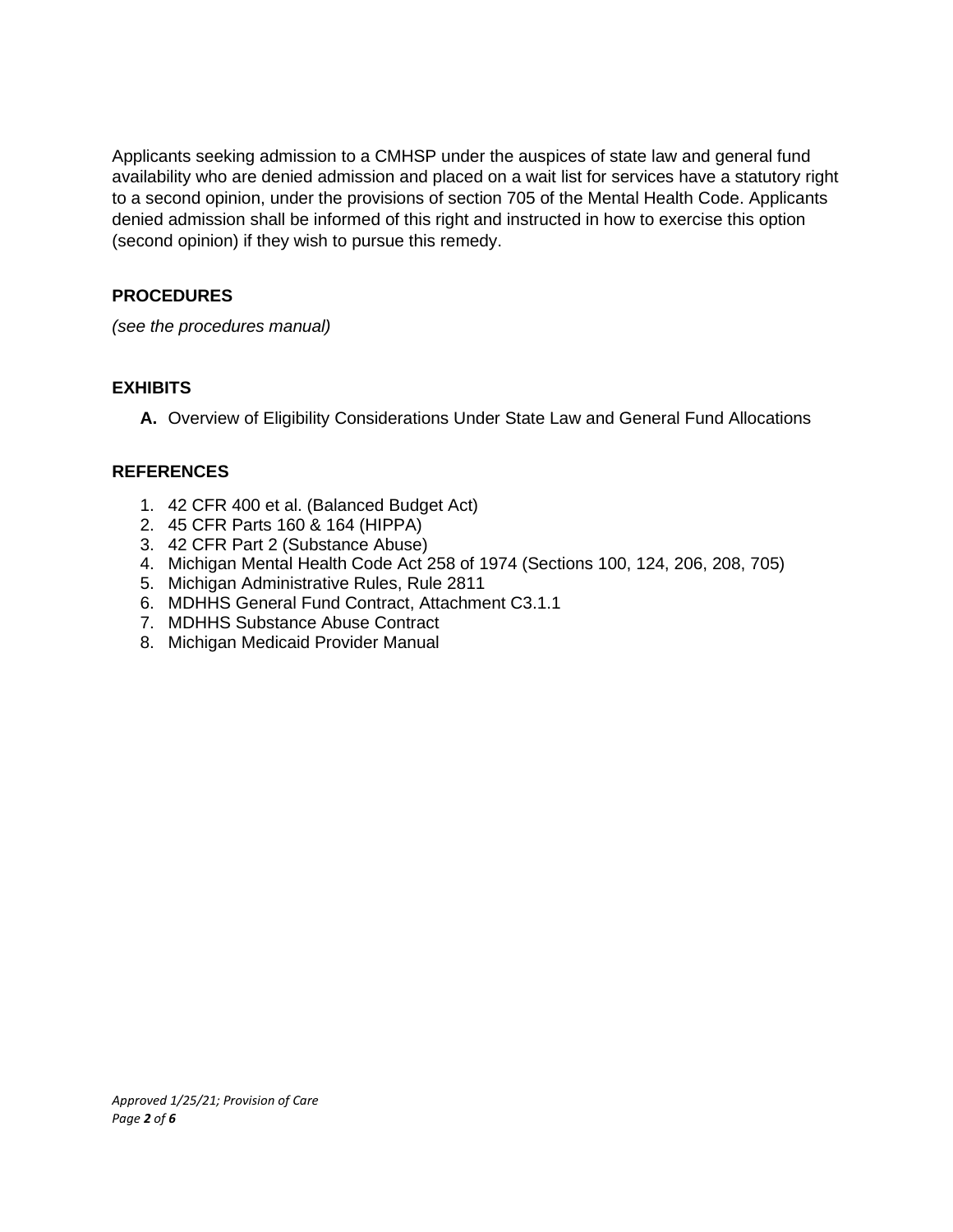Applicants seeking admission to a CMHSP under the auspices of state law and general fund availability who are denied admission and placed on a wait list for services have a statutory right to a second opinion, under the provisions of section 705 of the Mental Health Code. Applicants denied admission shall be informed of this right and instructed in how to exercise this option (second opinion) if they wish to pursue this remedy.

## **PROCEDURES**

*(see the procedures manual)*

## **EXHIBITS**

**A.** Overview of Eligibility Considerations Under State Law and General Fund Allocations

## **REFERENCES**

- 1. 42 CFR 400 et al. (Balanced Budget Act)
- 2. 45 CFR Parts 160 & 164 (HIPPA)
- 3. 42 CFR Part 2 (Substance Abuse)
- 4. Michigan Mental Health Code Act 258 of 1974 (Sections 100, 124, 206, 208, 705)
- 5. Michigan Administrative Rules, Rule 2811
- 6. MDHHS General Fund Contract, Attachment C3.1.1
- 7. MDHHS Substance Abuse Contract
- 8. Michigan Medicaid Provider Manual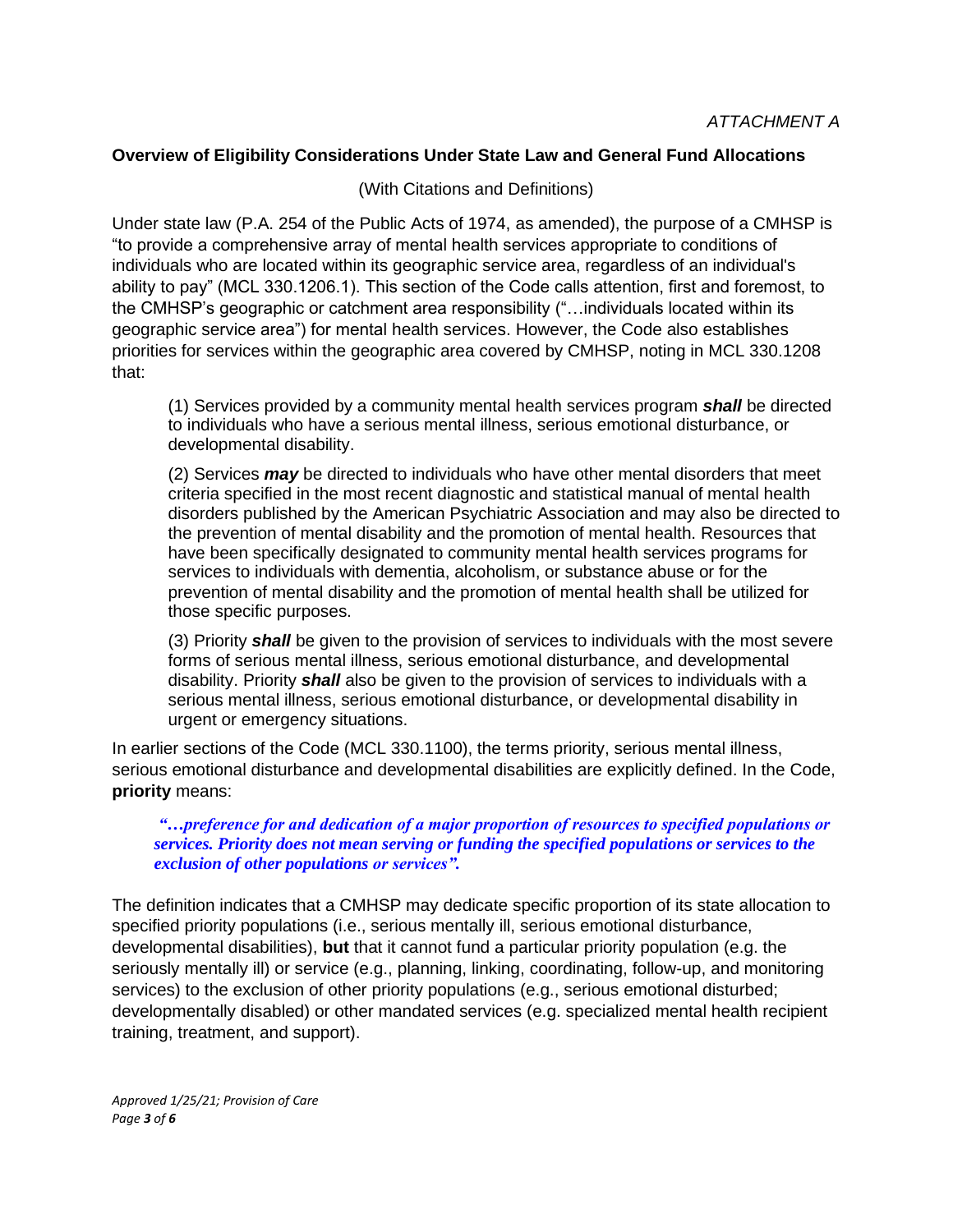#### **Overview of Eligibility Considerations Under State Law and General Fund Allocations**

(With Citations and Definitions)

Under state law (P.A. 254 of the Public Acts of 1974, as amended), the purpose of a CMHSP is "to provide a comprehensive array of mental health services appropriate to conditions of individuals who are located within its geographic service area, regardless of an individual's ability to pay" (MCL 330.1206.1). This section of the Code calls attention, first and foremost, to the CMHSP's geographic or catchment area responsibility ("…individuals located within its geographic service area") for mental health services. However, the Code also establishes priorities for services within the geographic area covered by CMHSP, noting in MCL 330.1208 that:

(1) Services provided by a community mental health services program *shall* be directed to individuals who have a serious mental illness, serious emotional disturbance, or developmental disability.

(2) Services *may* be directed to individuals who have other mental disorders that meet criteria specified in the most recent diagnostic and statistical manual of mental health disorders published by the American Psychiatric Association and may also be directed to the prevention of mental disability and the promotion of mental health. Resources that have been specifically designated to community mental health services programs for services to individuals with dementia, alcoholism, or substance abuse or for the prevention of mental disability and the promotion of mental health shall be utilized for those specific purposes.

(3) Priority *shall* be given to the provision of services to individuals with the most severe forms of serious mental illness, serious emotional disturbance, and developmental disability. Priority *shall* also be given to the provision of services to individuals with a serious mental illness, serious emotional disturbance, or developmental disability in urgent or emergency situations.

In earlier sections of the Code (MCL 330.1100), the terms priority, serious mental illness, serious emotional disturbance and developmental disabilities are explicitly defined. In the Code, **priority** means:

*"…preference for and dedication of a major proportion of resources to specified populations or services. Priority does not mean serving or funding the specified populations or services to the exclusion of other populations or services".* 

The definition indicates that a CMHSP may dedicate specific proportion of its state allocation to specified priority populations (i.e., serious mentally ill, serious emotional disturbance, developmental disabilities), **but** that it cannot fund a particular priority population (e.g. the seriously mentally ill) or service (e.g., planning, linking, coordinating, follow-up, and monitoring services) to the exclusion of other priority populations (e.g., serious emotional disturbed; developmentally disabled) or other mandated services (e.g. specialized mental health recipient training, treatment, and support).

*Approved 1/25/21; Provision of Care Page 3 of 6*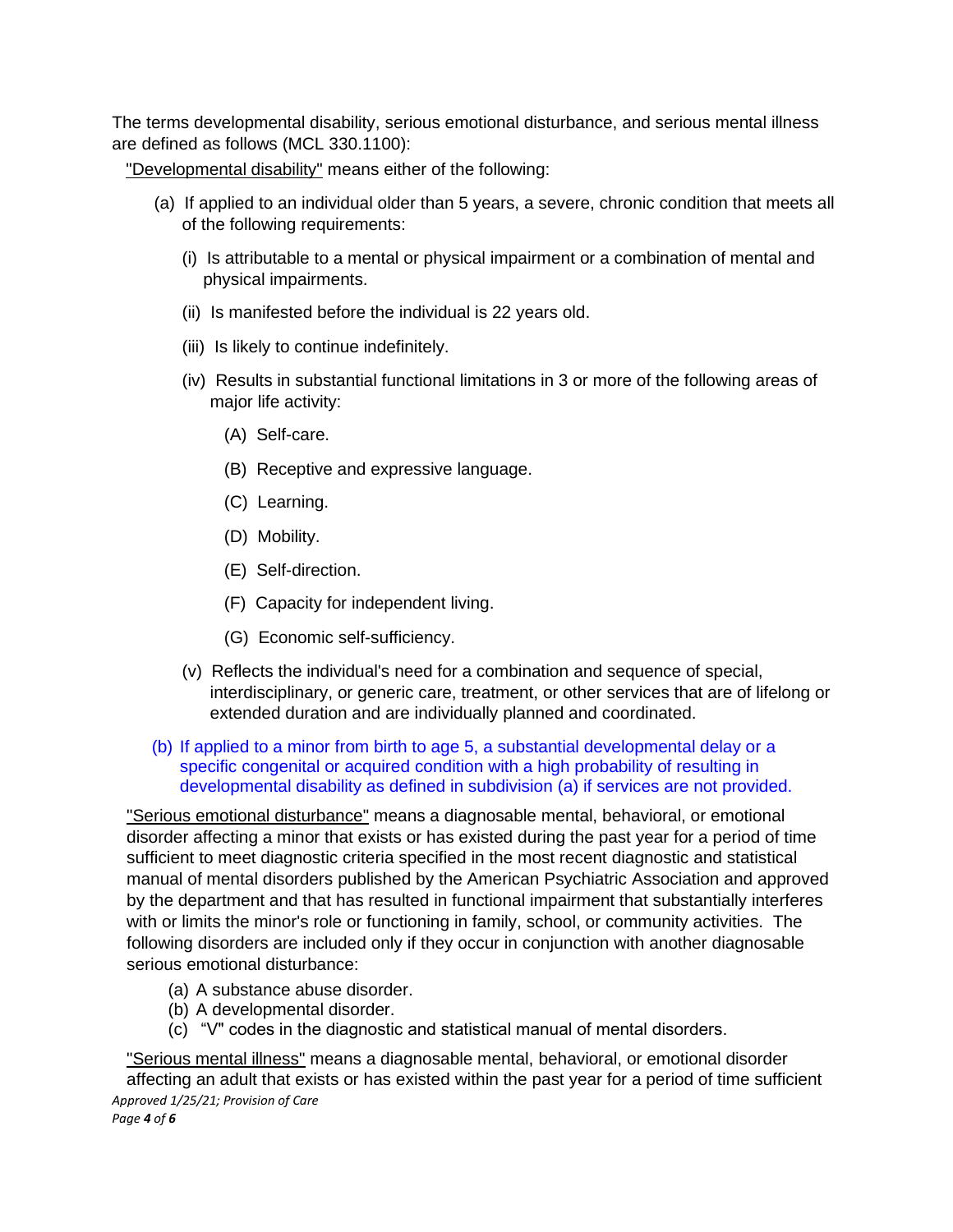The terms developmental disability, serious emotional disturbance, and serious mental illness are defined as follows (MCL 330.1100):

"Developmental disability" means either of the following:

- (a) If applied to an individual older than 5 years, a severe, chronic condition that meets all of the following requirements:
	- (i) Is attributable to a mental or physical impairment or a combination of mental and physical impairments.
	- (ii) Is manifested before the individual is 22 years old.
	- (iii) Is likely to continue indefinitely.
	- (iv) Results in substantial functional limitations in 3 or more of the following areas of major life activity:
		- (A) Self-care.
		- (B) Receptive and expressive language.
		- (C) Learning.
		- (D) Mobility.
		- (E) Self-direction.
		- (F) Capacity for independent living.
		- (G) Economic self-sufficiency.
	- (v) Reflects the individual's need for a combination and sequence of special, interdisciplinary, or generic care, treatment, or other services that are of lifelong or extended duration and are individually planned and coordinated.
- (b) If applied to a minor from birth to age 5, a substantial developmental delay or a specific congenital or acquired condition with a high probability of resulting in developmental disability as defined in subdivision (a) if services are not provided.

"Serious emotional disturbance" means a diagnosable mental, behavioral, or emotional disorder affecting a minor that exists or has existed during the past year for a period of time sufficient to meet diagnostic criteria specified in the most recent diagnostic and statistical manual of mental disorders published by the American Psychiatric Association and approved by the department and that has resulted in functional impairment that substantially interferes with or limits the minor's role or functioning in family, school, or community activities. The following disorders are included only if they occur in conjunction with another diagnosable serious emotional disturbance:

- (a) A substance abuse disorder.
- (b) A developmental disorder.
- (c) "V" codes in the diagnostic and statistical manual of mental disorders.

*Approved 1/25/21; Provision of Care Page 4 of 6* "Serious mental illness" means a diagnosable mental, behavioral, or emotional disorder affecting an adult that exists or has existed within the past year for a period of time sufficient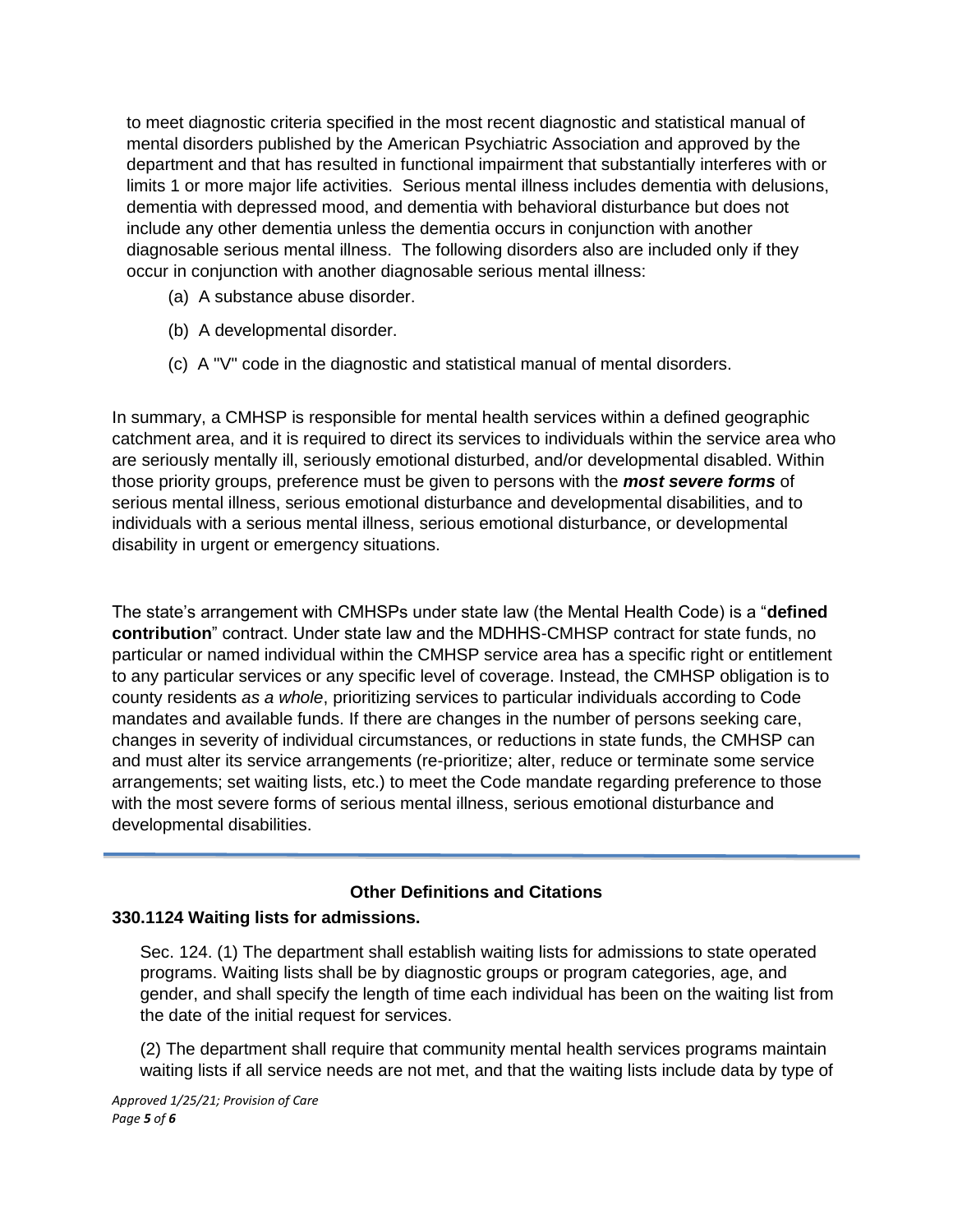to meet diagnostic criteria specified in the most recent diagnostic and statistical manual of mental disorders published by the American Psychiatric Association and approved by the department and that has resulted in functional impairment that substantially interferes with or limits 1 or more major life activities. Serious mental illness includes dementia with delusions, dementia with depressed mood, and dementia with behavioral disturbance but does not include any other dementia unless the dementia occurs in conjunction with another diagnosable serious mental illness. The following disorders also are included only if they occur in conjunction with another diagnosable serious mental illness:

- (a) A substance abuse disorder.
- (b) A developmental disorder.
- (c) A "V" code in the diagnostic and statistical manual of mental disorders.

In summary, a CMHSP is responsible for mental health services within a defined geographic catchment area, and it is required to direct its services to individuals within the service area who are seriously mentally ill, seriously emotional disturbed, and/or developmental disabled. Within those priority groups, preference must be given to persons with the *most severe forms* of serious mental illness, serious emotional disturbance and developmental disabilities, and to individuals with a serious mental illness, serious emotional disturbance, or developmental disability in urgent or emergency situations.

The state's arrangement with CMHSPs under state law (the Mental Health Code) is a "**defined contribution**" contract. Under state law and the MDHHS-CMHSP contract for state funds, no particular or named individual within the CMHSP service area has a specific right or entitlement to any particular services or any specific level of coverage. Instead, the CMHSP obligation is to county residents *as a whole*, prioritizing services to particular individuals according to Code mandates and available funds. If there are changes in the number of persons seeking care, changes in severity of individual circumstances, or reductions in state funds, the CMHSP can and must alter its service arrangements (re-prioritize; alter, reduce or terminate some service arrangements; set waiting lists, etc.) to meet the Code mandate regarding preference to those with the most severe forms of serious mental illness, serious emotional disturbance and developmental disabilities.

# **Other Definitions and Citations**

#### **330.1124 Waiting lists for admissions.**

Sec. 124. (1) The department shall establish waiting lists for admissions to state operated programs. Waiting lists shall be by diagnostic groups or program categories, age, and gender, and shall specify the length of time each individual has been on the waiting list from the date of the initial request for services.

(2) The department shall require that community mental health services programs maintain waiting lists if all service needs are not met, and that the waiting lists include data by type of